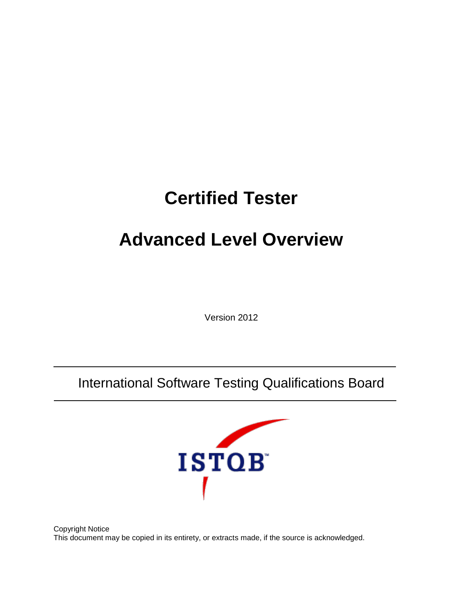# **Certified Tester**

# **Advanced Level Overview**

Version 2012

International Software Testing Qualifications Board



Copyright Notice This document may be copied in its entirety, or extracts made, if the source is acknowledged.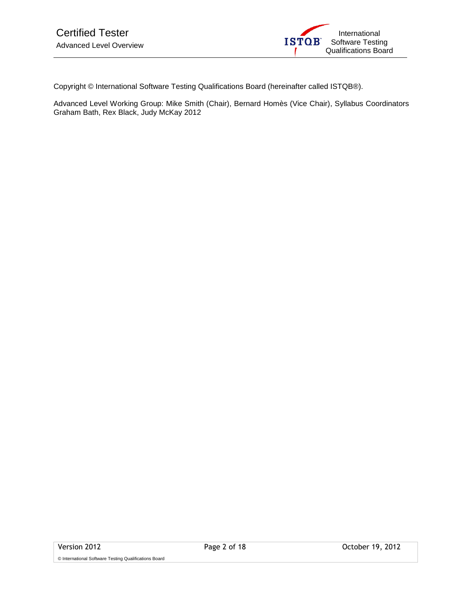

Copyright © International Software Testing Qualifications Board (hereinafter called ISTQB®).

Advanced Level Working Group: Mike Smith (Chair), Bernard Homès (Vice Chair), Syllabus Coordinators Graham Bath, Rex Black, Judy McKay 2012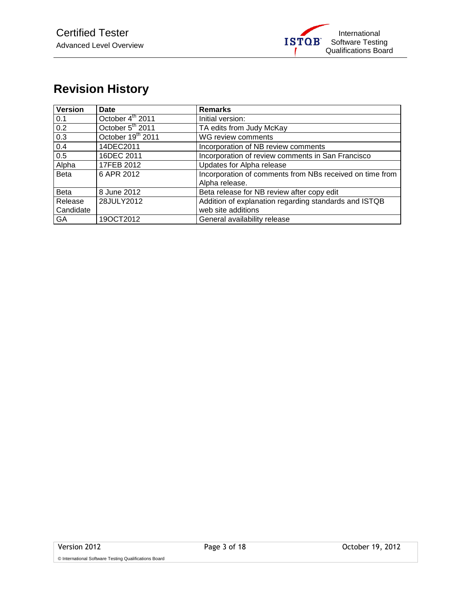## <span id="page-2-0"></span>**Revision History**

| <b>Version</b>       | Date                         | <b>Remarks</b>                                                              |
|----------------------|------------------------------|-----------------------------------------------------------------------------|
| 0.1                  | October 4 <sup>th</sup> 2011 | Initial version:                                                            |
| 0.2                  | October 5 <sup>th</sup> 2011 | TA edits from Judy McKay                                                    |
| 0.3                  | October 19th 2011            | WG review comments                                                          |
| 0.4                  | 14DEC2011                    | Incorporation of NB review comments                                         |
| 0.5                  | 16DEC 2011                   | Incorporation of review comments in San Francisco                           |
| Alpha                | 17FEB 2012                   | Updates for Alpha release                                                   |
| <b>Beta</b>          | 6 APR 2012                   | Incorporation of comments from NBs received on time from<br>Alpha release.  |
| <b>Beta</b>          | 8 June 2012                  | Beta release for NB review after copy edit                                  |
| Release<br>Candidate | 28JULY2012                   | Addition of explanation regarding standards and ISTQB<br>web site additions |
| GA                   | 19OCT2012                    | General availability release                                                |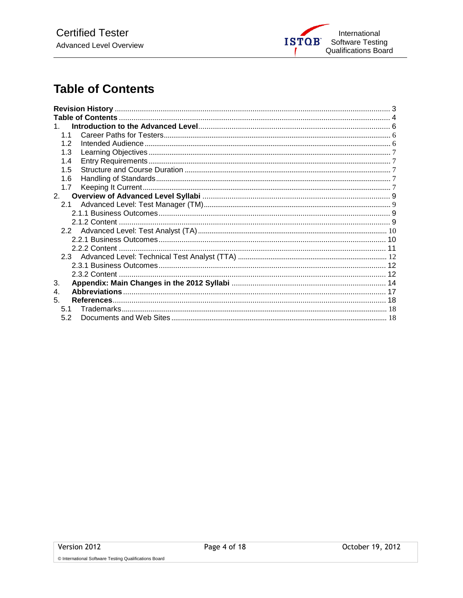

### <span id="page-3-0"></span>**Table of Contents**

| $1 \quad$ |  |
|-----------|--|
| 11        |  |
| 12        |  |
| 1.3       |  |
| 1.4       |  |
| 1.5       |  |
| 1.6       |  |
| 1.7       |  |
| 2.        |  |
|           |  |
|           |  |
|           |  |
|           |  |
|           |  |
|           |  |
|           |  |
|           |  |
|           |  |
| 3.        |  |
| 4.        |  |
| 5.        |  |
| 5.1       |  |
| 5.2       |  |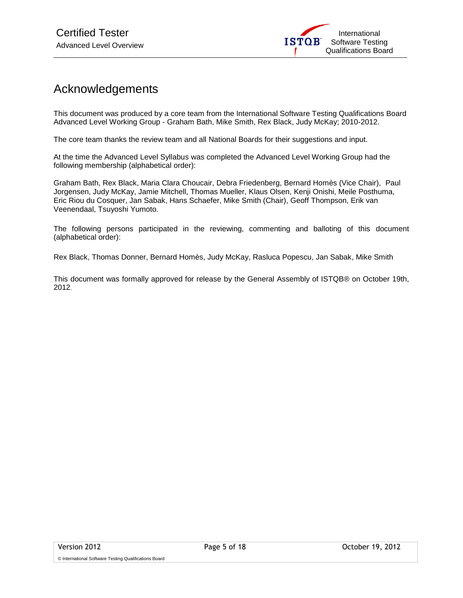

### Acknowledgements

This document was produced by a core team from the International Software Testing Qualifications Board Advanced Level Working Group - Graham Bath, Mike Smith, Rex Black, Judy McKay; 2010-2012.

The core team thanks the review team and all National Boards for their suggestions and input.

At the time the Advanced Level Syllabus was completed the Advanced Level Working Group had the following membership (alphabetical order):

Graham Bath, Rex Black, Maria Clara Choucair, Debra Friedenberg, Bernard Homès (Vice Chair), Paul Jorgensen, Judy McKay, Jamie Mitchell, Thomas Mueller, Klaus Olsen, Kenji Onishi, Meile Posthuma, Eric Riou du Cosquer, Jan Sabak, Hans Schaefer, Mike Smith (Chair), Geoff Thompson, Erik van Veenendaal, Tsuyoshi Yumoto.

The following persons participated in the reviewing, commenting and balloting of this document (alphabetical order):

Rex Black, Thomas Donner, Bernard Homès, Judy McKay, Rasluca Popescu, Jan Sabak, Mike Smith

This document was formally approved for release by the General Assembly of ISTQB® on October 19th, 2012.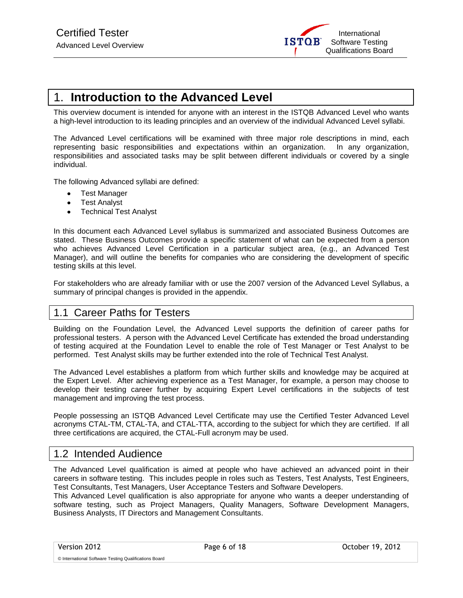

### <span id="page-5-0"></span>1. **Introduction to the Advanced Level**

This overview document is intended for anyone with an interest in the ISTQB Advanced Level who wants a high-level introduction to its leading principles and an overview of the individual Advanced Level syllabi.

The Advanced Level certifications will be examined with three major role descriptions in mind, each representing basic responsibilities and expectations within an organization. In any organization, responsibilities and associated tasks may be split between different individuals or covered by a single individual.

The following Advanced syllabi are defined:

- Test Manager  $\bullet$
- Test Analyst  $\bullet$
- Technical Test Analyst  $\bullet$

In this document each Advanced Level syllabus is summarized and associated Business Outcomes are stated. These Business Outcomes provide a specific statement of what can be expected from a person who achieves Advanced Level Certification in a particular subject area, (e.g., an Advanced Test Manager), and will outline the benefits for companies who are considering the development of specific testing skills at this level.

For stakeholders who are already familiar with or use the 2007 version of the Advanced Level Syllabus, a summary of principal changes is provided in the appendix.

#### <span id="page-5-1"></span>1.1 Career Paths for Testers

Building on the Foundation Level, the Advanced Level supports the definition of career paths for professional testers. A person with the Advanced Level Certificate has extended the broad understanding of testing acquired at the Foundation Level to enable the role of Test Manager or Test Analyst to be performed. Test Analyst skills may be further extended into the role of Technical Test Analyst.

The Advanced Level establishes a platform from which further skills and knowledge may be acquired at the Expert Level. After achieving experience as a Test Manager, for example, a person may choose to develop their testing career further by acquiring Expert Level certifications in the subjects of test management and improving the test process.

People possessing an ISTQB Advanced Level Certificate may use the Certified Tester Advanced Level acronyms CTAL-TM, CTAL-TA, and CTAL-TTA, according to the subject for which they are certified. If all three certifications are acquired, the CTAL-Full acronym may be used.

#### <span id="page-5-2"></span>1.2 Intended Audience

The Advanced Level qualification is aimed at people who have achieved an advanced point in their careers in software testing. This includes people in roles such as Testers, Test Analysts, Test Engineers, Test Consultants, Test Managers, User Acceptance Testers and Software Developers.

This Advanced Level qualification is also appropriate for anyone who wants a deeper understanding of software testing, such as Project Managers, Quality Managers, Software Development Managers, Business Analysts, IT Directors and Management Consultants.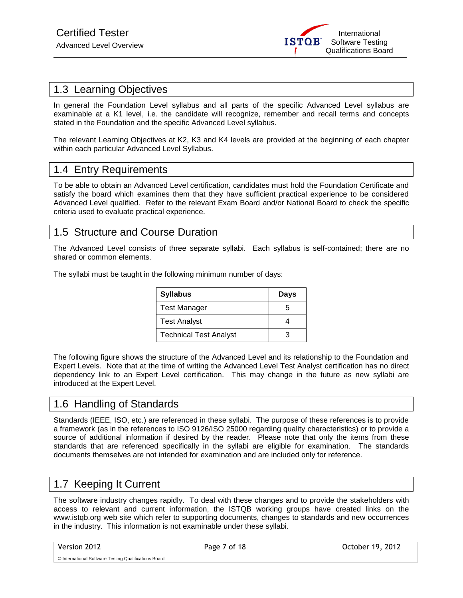

#### <span id="page-6-0"></span>1.3 Learning Objectives

In general the Foundation Level syllabus and all parts of the specific Advanced Level syllabus are examinable at a K1 level, i.e. the candidate will recognize, remember and recall terms and concepts stated in the Foundation and the specific Advanced Level syllabus.

The relevant Learning Objectives at K2, K3 and K4 levels are provided at the beginning of each chapter within each particular Advanced Level Syllabus.

#### <span id="page-6-1"></span>1.4 Entry Requirements

To be able to obtain an Advanced Level certification, candidates must hold the Foundation Certificate and satisfy the board which examines them that they have sufficient practical experience to be considered Advanced Level qualified. Refer to the relevant Exam Board and/or National Board to check the specific criteria used to evaluate practical experience.

#### <span id="page-6-2"></span>1.5 Structure and Course Duration

The Advanced Level consists of three separate syllabi. Each syllabus is self-contained; there are no shared or common elements.

The syllabi must be taught in the following minimum number of days:

| <b>Syllabus</b>               | Days |
|-------------------------------|------|
| <b>Test Manager</b>           |      |
| <b>Test Analyst</b>           |      |
| <b>Technical Test Analyst</b> |      |

The following figure shows the structure of the Advanced Level and its relationship to the Foundation and Expert Levels. Note that at the time of writing the Advanced Level Test Analyst certification has no direct dependency link to an Expert Level certification. This may change in the future as new syllabi are introduced at the Expert Level.

#### <span id="page-6-3"></span>1.6 Handling of Standards

Standards (IEEE, ISO, etc.) are referenced in these syllabi. The purpose of these references is to provide a framework (as in the references to ISO 9126/ISO 25000 regarding quality characteristics) or to provide a source of additional information if desired by the reader. Please note that only the items from these standards that are referenced specifically in the syllabi are eligible for examination. The standards documents themselves are not intended for examination and are included only for reference.

#### <span id="page-6-4"></span>1.7 Keeping It Current

The software industry changes rapidly. To deal with these changes and to provide the stakeholders with access to relevant and current information, the ISTQB working groups have created links on the www.istqb.org web site which refer to supporting documents, changes to standards and new occurrences in the industry. This information is not examinable under these syllabi.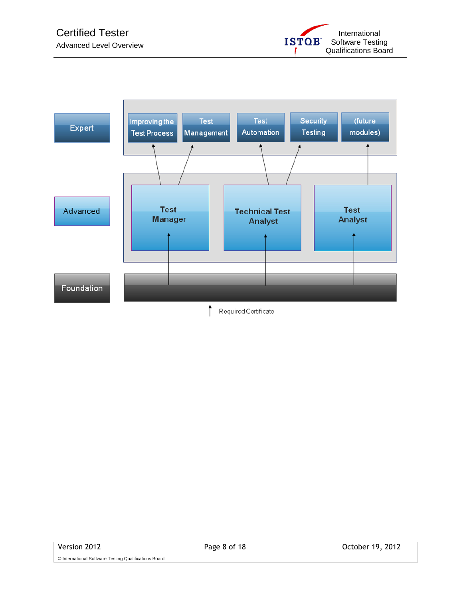

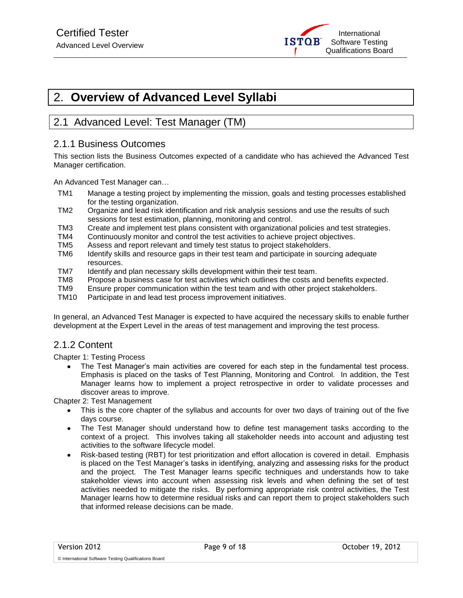

### <span id="page-8-0"></span>2. **Overview of Advanced Level Syllabi**

### <span id="page-8-1"></span>2.1 Advanced Level: Test Manager (TM)

#### <span id="page-8-2"></span>2.1.1 Business Outcomes

This section lists the Business Outcomes expected of a candidate who has achieved the Advanced Test Manager certification.

An Advanced Test Manager can…

- TM1 Manage a testing project by implementing the mission, goals and testing processes established for the testing organization.
- TM2 Organize and lead risk identification and risk analysis sessions and use the results of such sessions for test estimation, planning, monitoring and control.
- TM3 Create and implement test plans consistent with organizational policies and test strategies.
- TM4 Continuously monitor and control the test activities to achieve project objectives.
- TM5 Assess and report relevant and timely test status to project stakeholders.
- TM6 Identify skills and resource gaps in their test team and participate in sourcing adequate resources.
- TM7 Identify and plan necessary skills development within their test team.
- TM8 Propose a business case for test activities which outlines the costs and benefits expected.
- TM9 Ensure proper communication within the test team and with other project stakeholders.
- TM10 Participate in and lead test process improvement initiatives.

In general, an Advanced Test Manager is expected to have acquired the necessary skills to enable further development at the Expert Level in the areas of test management and improving the test process.

#### <span id="page-8-3"></span>2.1.2 Content

Chapter 1: Testing Process

The Test Manager's main activities are covered for each step in the fundamental test process. Emphasis is placed on the tasks of Test Planning, Monitoring and Control. In addition, the Test Manager learns how to implement a project retrospective in order to validate processes and discover areas to improve.

Chapter 2: Test Management

- This is the core chapter of the syllabus and accounts for over two days of training out of the five days course.
- The Test Manager should understand how to define test management tasks according to the context of a project. This involves taking all stakeholder needs into account and adjusting test activities to the software lifecycle model.
- Risk-based testing (RBT) for test prioritization and effort allocation is covered in detail. Emphasis is placed on the Test Manager's tasks in identifying, analyzing and assessing risks for the product and the project. The Test Manager learns specific techniques and understands how to take stakeholder views into account when assessing risk levels and when defining the set of test activities needed to mitigate the risks. By performing appropriate risk control activities, the Test Manager learns how to determine residual risks and can report them to project stakeholders such that informed release decisions can be made.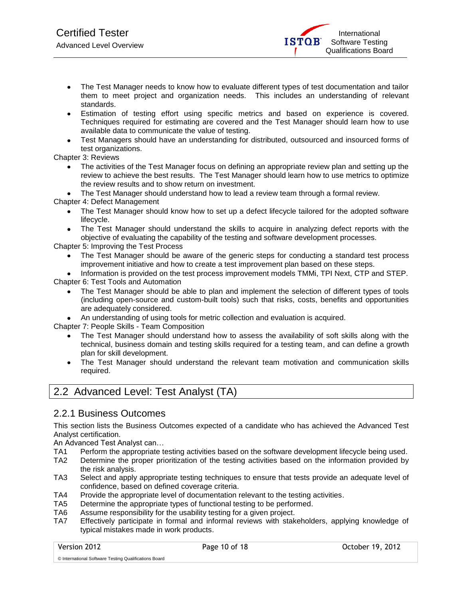- The Test Manager needs to know how to evaluate different types of test documentation and tailor them to meet project and organization needs. This includes an understanding of relevant standards.
- Estimation of testing effort using specific metrics and based on experience is covered. Techniques required for estimating are covered and the Test Manager should learn how to use available data to communicate the value of testing.
- Test Managers should have an understanding for distributed, outsourced and insourced forms of test organizations.

Chapter 3: Reviews

- The activities of the Test Manager focus on defining an appropriate review plan and setting up the review to achieve the best results. The Test Manager should learn how to use metrics to optimize the review results and to show return on investment.
- The Test Manager should understand how to lead a review team through a formal review.

Chapter 4: Defect Management

- The Test Manager should know how to set up a defect lifecycle tailored for the adopted software lifecycle.
- The Test Manager should understand the skills to acquire in analyzing defect reports with the objective of evaluating the capability of the testing and software development processes.

Chapter 5: Improving the Test Process

- The Test Manager should be aware of the generic steps for conducting a standard test process improvement initiative and how to create a test improvement plan based on these steps.
- Information is provided on the test process improvement models TMMi, TPI Next, CTP and STEP. Chapter 6: Test Tools and Automation

- The Test Manager should be able to plan and implement the selection of different types of tools (including open-source and custom-built tools) such that risks, costs, benefits and opportunities are adequately considered.
- An understanding of using tools for metric collection and evaluation is acquired.

Chapter 7: People Skills - Team Composition

- The Test Manager should understand how to assess the availability of soft skills along with the technical, business domain and testing skills required for a testing team, and can define a growth plan for skill development.
- The Test Manager should understand the relevant team motivation and communication skills required.

### <span id="page-9-0"></span>2.2 Advanced Level: Test Analyst (TA)

#### <span id="page-9-1"></span>2.2.1 Business Outcomes

This section lists the Business Outcomes expected of a candidate who has achieved the Advanced Test Analyst certification.

An Advanced Test Analyst can…

- TA1 Perform the appropriate testing activities based on the software development lifecycle being used.
- TA2 Determine the proper prioritization of the testing activities based on the information provided by the risk analysis.
- TA3 Select and apply appropriate testing techniques to ensure that tests provide an adequate level of confidence, based on defined coverage criteria.
- TA4 Provide the appropriate level of documentation relevant to the testing activities.
- TA5 Determine the appropriate types of functional testing to be performed.
- TA6 Assume responsibility for the usability testing for a given project.
- TA7 Effectively participate in formal and informal reviews with stakeholders, applying knowledge of typical mistakes made in work products.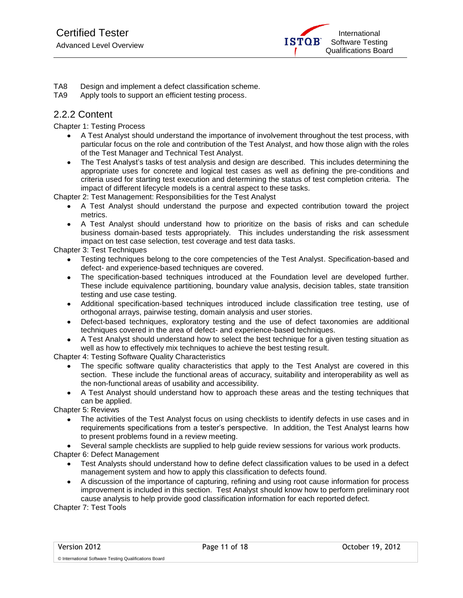

- TA8 Design and implement a defect classification scheme.
- TA9 Apply tools to support an efficient testing process.

#### <span id="page-10-0"></span>2.2.2 Content

Chapter 1: Testing Process

- A Test Analyst should understand the importance of involvement throughout the test process, with particular focus on the role and contribution of the Test Analyst, and how those align with the roles of the Test Manager and Technical Test Analyst.
- The Test Analyst's tasks of test analysis and design are described. This includes determining the appropriate uses for concrete and logical test cases as well as defining the pre-conditions and criteria used for starting test execution and determining the status of test completion criteria. The impact of different lifecycle models is a central aspect to these tasks.

Chapter 2: Test Management: Responsibilities for the Test Analyst

- A Test Analyst should understand the purpose and expected contribution toward the project metrics.
- A Test Analyst should understand how to prioritize on the basis of risks and can schedule business domain-based tests appropriately. This includes understanding the risk assessment impact on test case selection, test coverage and test data tasks.

Chapter 3: Test Techniques

- Testing techniques belong to the core competencies of the Test Analyst. Specification-based and defect- and experience-based techniques are covered.
- The specification-based techniques introduced at the Foundation level are developed further. These include equivalence partitioning, boundary value analysis, decision tables, state transition testing and use case testing.
- Additional specification-based techniques introduced include classification tree testing, use of  $\bullet$ orthogonal arrays, pairwise testing, domain analysis and user stories.
- Defect-based techniques, exploratory testing and the use of defect taxonomies are additional techniques covered in the area of defect- and experience-based techniques.
- A Test Analyst should understand how to select the best technique for a given testing situation as well as how to effectively mix techniques to achieve the best testing result.

Chapter 4: Testing Software Quality Characteristics

- The specific software quality characteristics that apply to the Test Analyst are covered in this section. These include the functional areas of accuracy, suitability and interoperability as well as the non-functional areas of usability and accessibility.
- A Test Analyst should understand how to approach these areas and the testing techniques that can be applied.

Chapter 5: Reviews

- The activities of the Test Analyst focus on using checklists to identify defects in use cases and in requirements specifications from a tester's perspective. In addition, the Test Analyst learns how to present problems found in a review meeting.
- Several sample checklists are supplied to help guide review sessions for various work products.

Chapter 6: Defect Management

© International Software Testing Qualifications Board

- Test Analysts should understand how to define defect classification values to be used in a defect management system and how to apply this classification to defects found.
- A discussion of the importance of capturing, refining and using root cause information for process improvement is included in this section. Test Analyst should know how to perform preliminary root cause analysis to help provide good classification information for each reported defect.

Chapter 7: Test Tools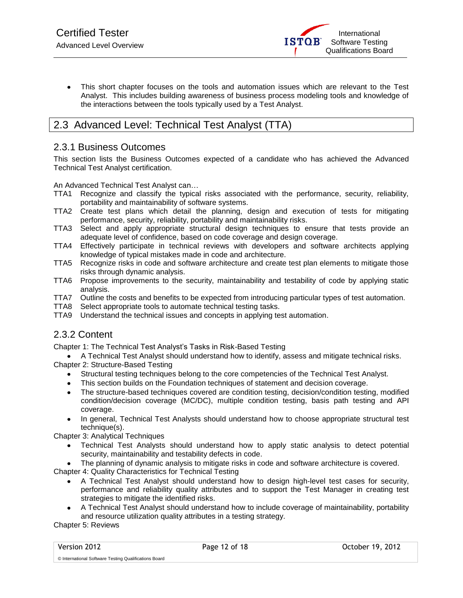This short chapter focuses on the tools and automation issues which are relevant to the Test Analyst. This includes building awareness of business process modeling tools and knowledge of the interactions between the tools typically used by a Test Analyst.

### <span id="page-11-0"></span>2.3 Advanced Level: Technical Test Analyst (TTA)

#### <span id="page-11-1"></span>2.3.1 Business Outcomes

This section lists the Business Outcomes expected of a candidate who has achieved the Advanced Technical Test Analyst certification.

An Advanced Technical Test Analyst can…

- TTA1 Recognize and classify the typical risks associated with the performance, security, reliability, portability and maintainability of software systems.
- TTA2 Create test plans which detail the planning, design and execution of tests for mitigating performance, security, reliability, portability and maintainability risks.
- TTA3 Select and apply appropriate structural design techniques to ensure that tests provide an adequate level of confidence, based on code coverage and design coverage.
- TTA4 Effectively participate in technical reviews with developers and software architects applying knowledge of typical mistakes made in code and architecture.
- TTA5 Recognize risks in code and software architecture and create test plan elements to mitigate those risks through dynamic analysis.
- TTA6 Propose improvements to the security, maintainability and testability of code by applying static analysis.
- TTA7 Outline the costs and benefits to be expected from introducing particular types of test automation.
- TTA8 Select appropriate tools to automate technical testing tasks.
- TTA9 Understand the technical issues and concepts in applying test automation.

#### <span id="page-11-2"></span>2.3.2 Content

Chapter 1: The Technical Test Analyst's Tasks in Risk-Based Testing

A Technical Test Analyst should understand how to identify, assess and mitigate technical risks. Chapter 2: Structure-Based Testing

- Structural testing techniques belong to the core competencies of the Technical Test Analyst.
- This section builds on the Foundation techniques of statement and decision coverage.
- The structure-based techniques covered are condition testing, decision/condition testing, modified condition/decision coverage (MC/DC), multiple condition testing, basis path testing and API coverage.
- In general, Technical Test Analysts should understand how to choose appropriate structural test  $\bullet$ technique(s).

Chapter 3: Analytical Techniques

Technical Test Analysts should understand how to apply static analysis to detect potential security, maintainability and testability defects in code.

The planning of dynamic analysis to mitigate risks in code and software architecture is covered.

Chapter 4: Quality Characteristics for Technical Testing

- A Technical Test Analyst should understand how to design high-level test cases for security, performance and reliability quality attributes and to support the Test Manager in creating test strategies to mitigate the identified risks.
- A Technical Test Analyst should understand how to include coverage of maintainability, portability and resource utilization quality attributes in a testing strategy.

Chapter 5: Reviews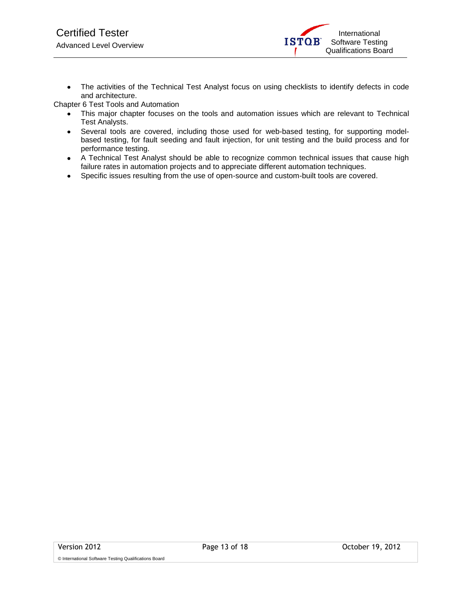The activities of the Technical Test Analyst focus on using checklists to identify defects in code  $\bullet$ and architecture.

Chapter 6 Test Tools and Automation

- This major chapter focuses on the tools and automation issues which are relevant to Technical  $\bullet$ Test Analysts.
- Several tools are covered, including those used for web-based testing, for supporting modelbased testing, for fault seeding and fault injection, for unit testing and the build process and for performance testing.
- A Technical Test Analyst should be able to recognize common technical issues that cause high  $\bullet$ failure rates in automation projects and to appreciate different automation techniques.
- Specific issues resulting from the use of open-source and custom-built tools are covered. $\bullet$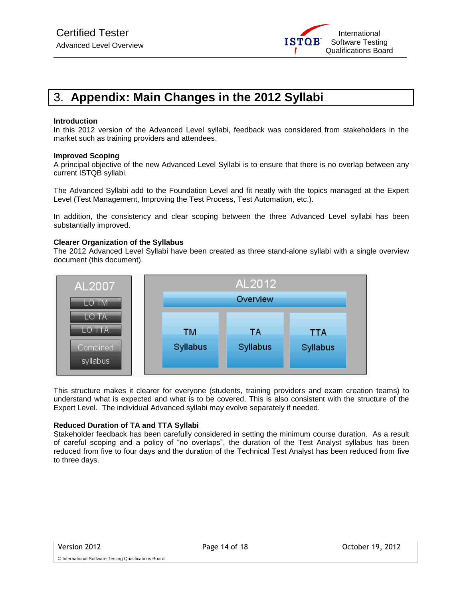

### <span id="page-13-0"></span>3. **Appendix: Main Changes in the 2012 Syllabi**

#### **Introduction**

In this 2012 version of the Advanced Level syllabi, feedback was considered from stakeholders in the market such as training providers and attendees.

#### **Improved Scoping**

A principal objective of the new Advanced Level Syllabi is to ensure that there is no overlap between any current ISTQB syllabi.

The Advanced Syllabi add to the Foundation Level and fit neatly with the topics managed at the Expert Level (Test Management, Improving the Test Process, Test Automation, etc.).

In addition, the consistency and clear scoping between the three Advanced Level syllabi has been substantially improved.

#### **Clearer Organization of the Syllabus**

The 2012 Advanced Level Syllabi have been created as three stand-alone syllabi with a single overview document (this document).



This structure makes it clearer for everyone (students, training providers and exam creation teams) to understand what is expected and what is to be covered. This is also consistent with the structure of the Expert Level. The individual Advanced syllabi may evolve separately if needed.

#### **Reduced Duration of TA and TTA Syllabi**

Stakeholder feedback has been carefully considered in setting the minimum course duration. As a result of careful scoping and a policy of "no overlaps", the duration of the Test Analyst syllabus has been reduced from five to four days and the duration of the Technical Test Analyst has been reduced from five to three days.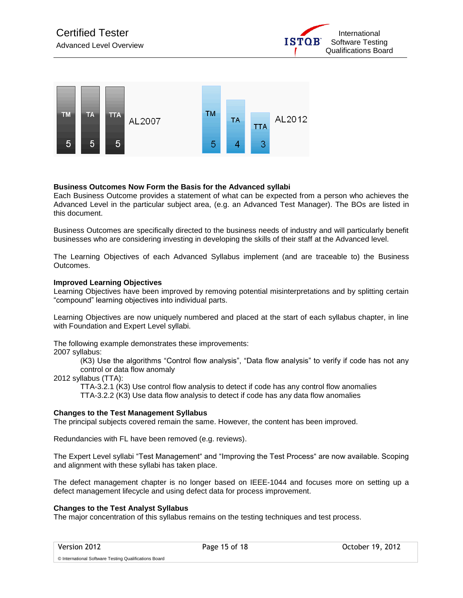



#### **Business Outcomes Now Form the Basis for the Advanced syllabi**

Each Business Outcome provides a statement of what can be expected from a person who achieves the Advanced Level in the particular subject area, (e.g. an Advanced Test Manager). The BOs are listed in this document.

Business Outcomes are specifically directed to the business needs of industry and will particularly benefit businesses who are considering investing in developing the skills of their staff at the Advanced level.

The Learning Objectives of each Advanced Syllabus implement (and are traceable to) the Business Outcomes.

#### **Improved Learning Objectives**

Learning Objectives have been improved by removing potential misinterpretations and by splitting certain "compound" learning objectives into individual parts.

Learning Objectives are now uniquely numbered and placed at the start of each syllabus chapter, in line with Foundation and Expert Level syllabi.

The following example demonstrates these improvements:

2007 syllabus:

(K3) Use the algorithms "Control flow analysis", "Data flow analysis" to verify if code has not any control or data flow anomaly

2012 syllabus (TTA):

TTA-3.2.1 (K3) Use control flow analysis to detect if code has any control flow anomalies TTA-3.2.2 (K3) Use data flow analysis to detect if code has any data flow anomalies

#### **Changes to the Test Management Syllabus**

The principal subjects covered remain the same. However, the content has been improved.

Redundancies with FL have been removed (e.g. reviews).

The Expert Level syllabi "Test Management" and "Improving the Test Process" are now available. Scoping and alignment with these syllabi has taken place.

The defect management chapter is no longer based on IEEE-1044 and focuses more on setting up a defect management lifecycle and using defect data for process improvement.

#### **Changes to the Test Analyst Syllabus**

The major concentration of this syllabus remains on the testing techniques and test process.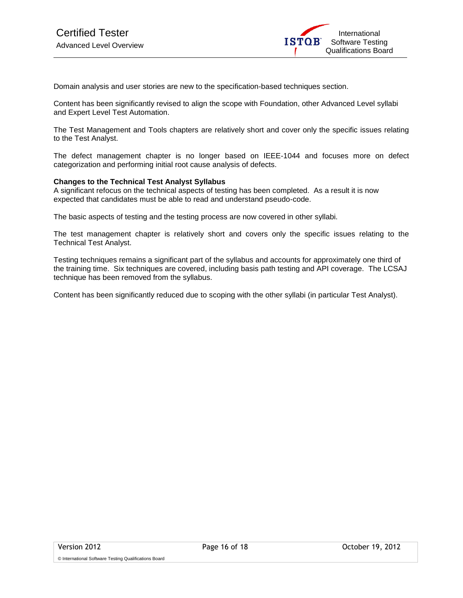

Domain analysis and user stories are new to the specification-based techniques section.

Content has been significantly revised to align the scope with Foundation, other Advanced Level syllabi and Expert Level Test Automation.

The Test Management and Tools chapters are relatively short and cover only the specific issues relating to the Test Analyst.

The defect management chapter is no longer based on IEEE-1044 and focuses more on defect categorization and performing initial root cause analysis of defects.

#### **Changes to the Technical Test Analyst Syllabus**

A significant refocus on the technical aspects of testing has been completed. As a result it is now expected that candidates must be able to read and understand pseudo-code.

The basic aspects of testing and the testing process are now covered in other syllabi.

The test management chapter is relatively short and covers only the specific issues relating to the Technical Test Analyst.

Testing techniques remains a significant part of the syllabus and accounts for approximately one third of the training time. Six techniques are covered, including basis path testing and API coverage. The LCSAJ technique has been removed from the syllabus.

Content has been significantly reduced due to scoping with the other syllabi (in particular Test Analyst).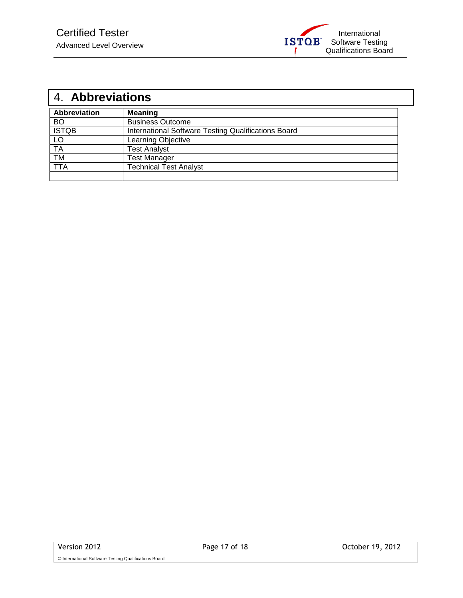

 $\overline{\phantom{a}}$ 

<span id="page-16-0"></span>

| 4. Abbreviations    |                                                     |  |  |
|---------------------|-----------------------------------------------------|--|--|
| <b>Abbreviation</b> | <b>Meaning</b>                                      |  |  |
| <b>BO</b>           | <b>Business Outcome</b>                             |  |  |
| <b>ISTQB</b>        | International Software Testing Qualifications Board |  |  |
| LO                  | Learning Objective                                  |  |  |
| <b>TA</b>           | <b>Test Analyst</b>                                 |  |  |
| <b>TM</b>           | <b>Test Manager</b>                                 |  |  |
| TTA                 | <b>Technical Test Analyst</b>                       |  |  |
|                     |                                                     |  |  |